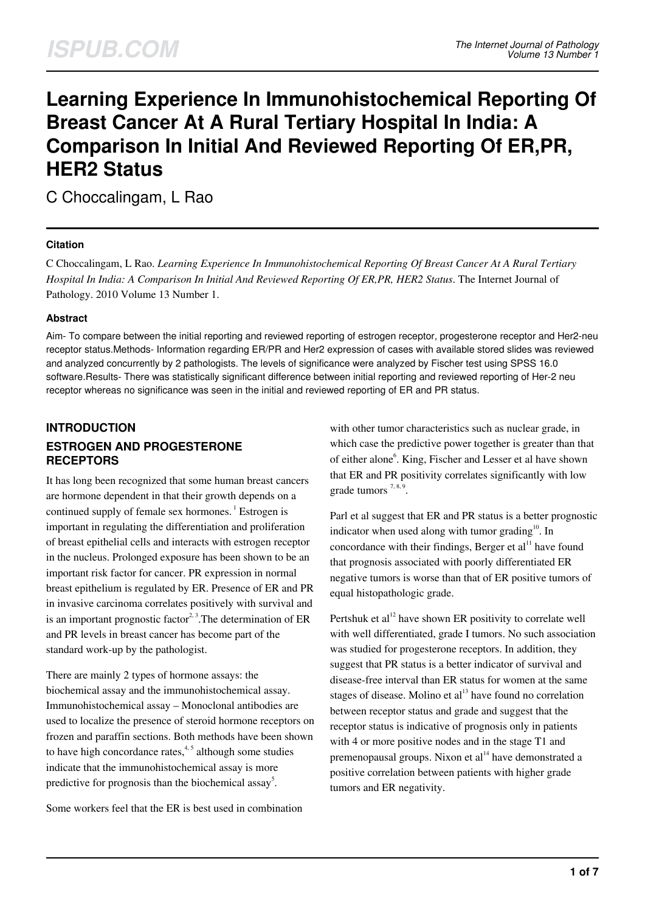# **Learning Experience In Immunohistochemical Reporting Of Breast Cancer At A Rural Tertiary Hospital In India: A Comparison In Initial And Reviewed Reporting Of ER,PR, HER2 Status**

C Choccalingam, L Rao

## **Citation**

C Choccalingam, L Rao. *Learning Experience In Immunohistochemical Reporting Of Breast Cancer At A Rural Tertiary Hospital In India: A Comparison In Initial And Reviewed Reporting Of ER,PR, HER2 Status*. The Internet Journal of Pathology. 2010 Volume 13 Number 1.

#### **Abstract**

Aim- To compare between the initial reporting and reviewed reporting of estrogen receptor, progesterone receptor and Her2-neu receptor status.Methods- Information regarding ER/PR and Her2 expression of cases with available stored slides was reviewed and analyzed concurrently by 2 pathologists. The levels of significance were analyzed by Fischer test using SPSS 16.0 software.Results- There was statistically significant difference between initial reporting and reviewed reporting of Her-2 neu receptor whereas no significance was seen in the initial and reviewed reporting of ER and PR status.

## **INTRODUCTION ESTROGEN AND PROGESTERONE RECEPTORS**

It has long been recognized that some human breast cancers are hormone dependent in that their growth depends on a continued supply of female sex hormones.<sup>1</sup> Estrogen is important in regulating the differentiation and proliferation of breast epithelial cells and interacts with estrogen receptor in the nucleus. Prolonged exposure has been shown to be an important risk factor for cancer. PR expression in normal breast epithelium is regulated by ER. Presence of ER and PR in invasive carcinoma correlates positively with survival and is an important prognostic factor<sup>2, 3</sup>. The determination of ER and PR levels in breast cancer has become part of the standard work-up by the pathologist.

There are mainly 2 types of hormone assays: the biochemical assay and the immunohistochemical assay. Immunohistochemical assay – Monoclonal antibodies are used to localize the presence of steroid hormone receptors on frozen and paraffin sections. Both methods have been shown to have high concordance rates, $4,5$  although some studies indicate that the immunohistochemical assay is more predictive for prognosis than the biochemical assay<sup>5</sup>.

Some workers feel that the ER is best used in combination

with other tumor characteristics such as nuclear grade, in which case the predictive power together is greater than that of either alone<sup>6</sup>. King, Fischer and Lesser et al have shown that ER and PR positivity correlates significantly with low grade tumors  $7,8,9$ .

Parl et al suggest that ER and PR status is a better prognostic indicator when used along with tumor grading $10$ . In concordance with their findings, Berger et  $al<sup>11</sup>$  have found that prognosis associated with poorly differentiated ER negative tumors is worse than that of ER positive tumors of equal histopathologic grade.

Pertshuk et al<sup>12</sup> have shown ER positivity to correlate well with well differentiated, grade I tumors. No such association was studied for progesterone receptors. In addition, they suggest that PR status is a better indicator of survival and disease-free interval than ER status for women at the same stages of disease. Molino et al $^{13}$  have found no correlation between receptor status and grade and suggest that the receptor status is indicative of prognosis only in patients with 4 or more positive nodes and in the stage T1 and premenopausal groups. Nixon et  $al<sup>14</sup>$  have demonstrated a positive correlation between patients with higher grade tumors and ER negativity.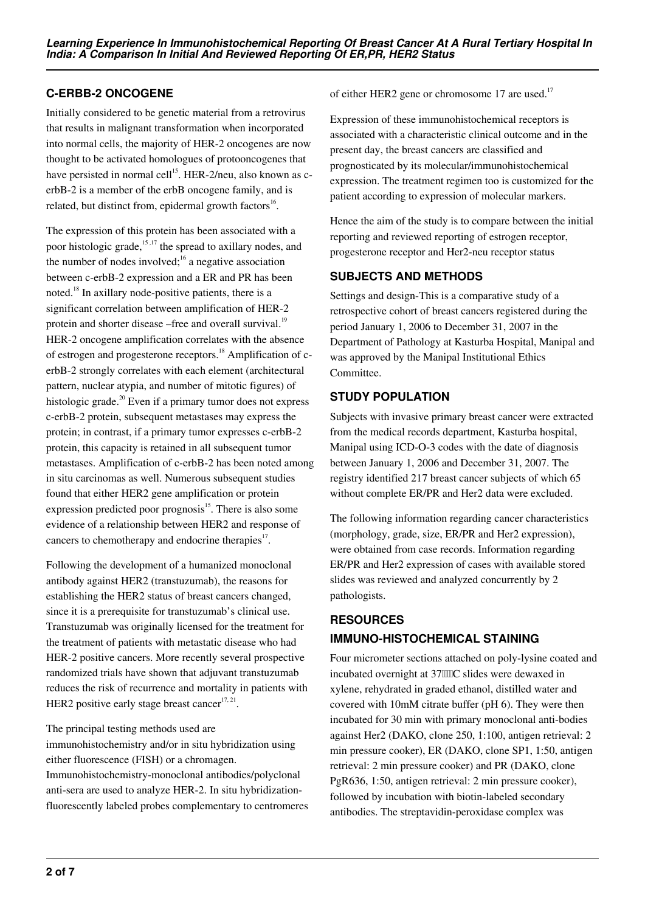## **C-ERBB-2 ONCOGENE**

Initially considered to be genetic material from a retrovirus that results in malignant transformation when incorporated into normal cells, the majority of HER-2 oncogenes are now thought to be activated homologues of protooncogenes that have persisted in normal cell<sup>15</sup>. HER-2/neu, also known as cerbB-2 is a member of the erbB oncogene family, and is related, but distinct from, epidermal growth factors<sup>16</sup>.

The expression of this protein has been associated with a poor histologic grade, $15,17$  the spread to axillary nodes, and the number of nodes involved; $16$  a negative association between c-erbB-2 expression and a ER and PR has been noted.<sup>18</sup> In axillary node-positive patients, there is a significant correlation between amplification of HER-2 protein and shorter disease –free and overall survival.<sup>19</sup> HER-2 oncogene amplification correlates with the absence of estrogen and progesterone receptors.<sup>18</sup> Amplification of cerbB-2 strongly correlates with each element (architectural pattern, nuclear atypia, and number of mitotic figures) of histologic grade.<sup>20</sup> Even if a primary tumor does not express c-erbB-2 protein, subsequent metastases may express the protein; in contrast, if a primary tumor expresses c-erbB-2 protein, this capacity is retained in all subsequent tumor metastases. Amplification of c-erbB-2 has been noted among in situ carcinomas as well. Numerous subsequent studies found that either HER2 gene amplification or protein expression predicted poor prognosis $15$ . There is also some evidence of a relationship between HER2 and response of cancers to chemotherapy and endocrine therapies $17$ .

Following the development of a humanized monoclonal antibody against HER2 (transtuzumab), the reasons for establishing the HER2 status of breast cancers changed, since it is a prerequisite for transtuzumab's clinical use. Transtuzumab was originally licensed for the treatment for the treatment of patients with metastatic disease who had HER-2 positive cancers. More recently several prospective randomized trials have shown that adjuvant transtuzumab reduces the risk of recurrence and mortality in patients with HER2 positive early stage breast cancer $17, 21$ .

#### The principal testing methods used are

immunohistochemistry and/or in situ hybridization using either fluorescence (FISH) or a chromagen.

Immunohistochemistry-monoclonal antibodies/polyclonal anti-sera are used to analyze HER-2. In situ hybridizationfluorescently labeled probes complementary to centromeres of either HER2 gene or chromosome 17 are used.<sup>17</sup>

Expression of these immunohistochemical receptors is associated with a characteristic clinical outcome and in the present day, the breast cancers are classified and prognosticated by its molecular/immunohistochemical expression. The treatment regimen too is customized for the patient according to expression of molecular markers.

Hence the aim of the study is to compare between the initial reporting and reviewed reporting of estrogen receptor, progesterone receptor and Her2-neu receptor status

## **SUBJECTS AND METHODS**

Settings and design-This is a comparative study of a retrospective cohort of breast cancers registered during the period January 1, 2006 to December 31, 2007 in the Department of Pathology at Kasturba Hospital, Manipal and was approved by the Manipal Institutional Ethics Committee.

## **STUDY POPULATION**

Subjects with invasive primary breast cancer were extracted from the medical records department, Kasturba hospital, Manipal using ICD-O-3 codes with the date of diagnosis between January 1, 2006 and December 31, 2007. The registry identified 217 breast cancer subjects of which 65 without complete ER/PR and Her2 data were excluded.

The following information regarding cancer characteristics (morphology, grade, size, ER/PR and Her2 expression), were obtained from case records. Information regarding ER/PR and Her2 expression of cases with available stored slides was reviewed and analyzed concurrently by 2 pathologists.

# **RESOURCES**

# **IMMUNO-HISTOCHEMICAL STAINING**

Four micrometer sections attached on poly-lysine coated and incubated overnight at 37IIIC slides were dewaxed in xylene, rehydrated in graded ethanol, distilled water and covered with 10mM citrate buffer (pH 6). They were then incubated for 30 min with primary monoclonal anti-bodies against Her2 (DAKO, clone 250, 1:100, antigen retrieval: 2 min pressure cooker), ER (DAKO, clone SP1, 1:50, antigen retrieval: 2 min pressure cooker) and PR (DAKO, clone PgR636, 1:50, antigen retrieval: 2 min pressure cooker), followed by incubation with biotin-labeled secondary antibodies. The streptavidin-peroxidase complex was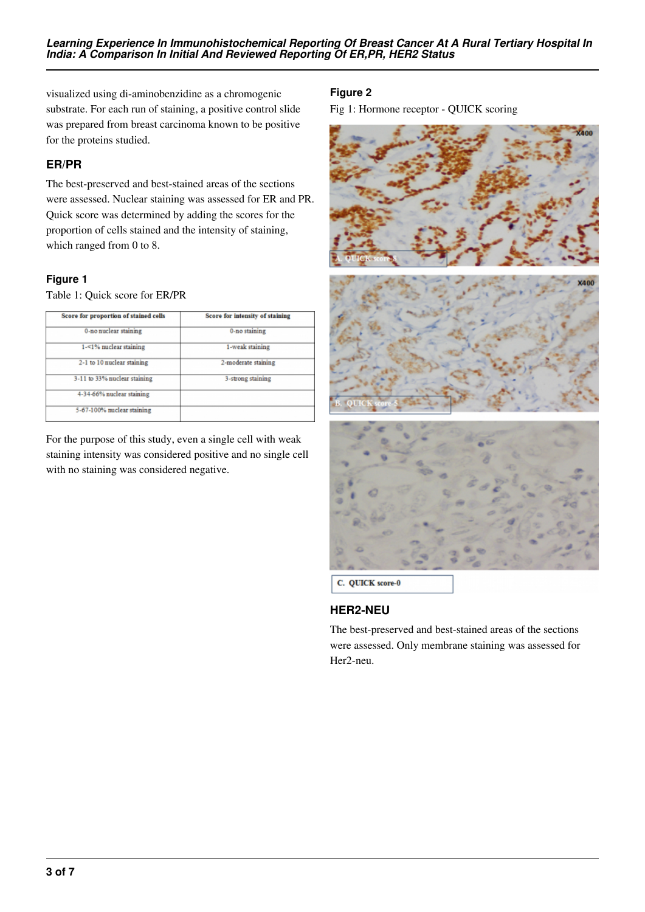visualized using di-aminobenzidine as a chromogenic substrate. For each run of staining, a positive control slide was prepared from breast carcinoma known to be positive for the proteins studied.

## **ER/PR**

The best-preserved and best-stained areas of the sections were assessed. Nuclear staining was assessed for ER and PR. Quick score was determined by adding the scores for the proportion of cells stained and the intensity of staining, which ranged from 0 to 8.

## **Figure 1**

Table 1: Quick score for ER/PR

| Score for proportion of stained cells | <b>Score for intensity of staining</b> |  |
|---------------------------------------|----------------------------------------|--|
| 0-no nuclear staining                 | 0-no staining                          |  |
| 1-<1% nuclear staining                | 1-weak staining                        |  |
| 2-1 to 10 nuclear staining            | 2-moderate staining                    |  |
| 3-11 to 33% nuclear staining          | 3-strong staining                      |  |
| 4-34-66% nuclear staining             |                                        |  |
| 5-67-100% nuclear staining            |                                        |  |

For the purpose of this study, even a single cell with weak staining intensity was considered positive and no single cell with no staining was considered negative.

# **Figure 2**

Fig 1: Hormone receptor - QUICK scoring



## **HER2-NEU**

The best-preserved and best-stained areas of the sections were assessed. Only membrane staining was assessed for Her2-neu.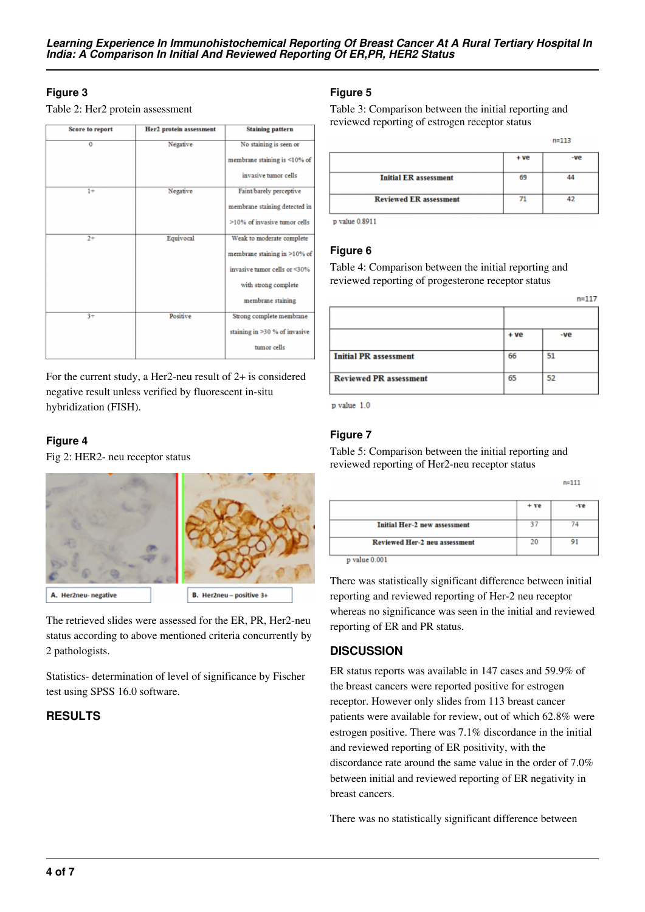## **Figure 3**

Table 2: Her2 protein assessment

| <b>Score to report</b> | <b>Her2</b> protein assessment | <b>Staining pattern</b>       |
|------------------------|--------------------------------|-------------------------------|
| $\overline{0}$         | Negative                       | No staining is seen or        |
|                        |                                | membrane staining is <10% of  |
|                        |                                | invasive tumor cells          |
| $1+$                   | Negative                       | Faint/barely perceptive       |
|                        |                                | membrane staining detected in |
|                        |                                | >10% of invasive tumor cells  |
| $2+$                   | Equivocal                      | Weak to moderate complete     |
|                        |                                | membrane staining in >10% of  |
|                        |                                | invasive tumor cells or <30%  |
|                        |                                | with strong complete          |
|                        |                                | membrane staining             |
| $3+$                   | Positive                       | Strong complete membrane      |
|                        |                                | staining in >30 % of invasive |
|                        |                                | tumor cells                   |

For the current study, a Her2-neu result of 2+ is considered negative result unless verified by fluorescent in-situ hybridization (FISH).

## **Figure 4**

Fig 2: HER2- neu receptor status



The retrieved slides were assessed for the ER, PR, Her2-neu status according to above mentioned criteria concurrently by 2 pathologists.

Statistics- determination of level of significance by Fischer test using SPSS 16.0 software.

## **RESULTS**

## **Figure 5**

Table 3: Comparison between the initial reporting and reviewed reporting of estrogen receptor status

|                               | + ve | -ve |
|-------------------------------|------|-----|
| <b>Initial ER</b> assessment  | 69   |     |
| <b>Reviewed ER assessment</b> |      |     |

 $n = 113$ 

p value 0.8911

#### **Figure 6**

Table 4: Comparison between the initial reporting and reviewed reporting of progesterone receptor status

|                               | + ve | -ve |  |  |
|-------------------------------|------|-----|--|--|
| <b>Initial PR</b> assessment  | 66   | 51  |  |  |
| <b>Reviewed PR assessment</b> | 65   | 52  |  |  |

p value 1.0

#### **Figure 7**

Table 5: Comparison between the initial reporting and reviewed reporting of Her2-neu receptor status

| $n=111$ |     |
|---------|-----|
| $+ve$   | -ve |
| 37      | 74  |
| 20      |     |
|         |     |

p value 0.001

There was statistically significant difference between initial reporting and reviewed reporting of Her-2 neu receptor whereas no significance was seen in the initial and reviewed reporting of ER and PR status.

## **DISCUSSION**

ER status reports was available in 147 cases and 59.9% of the breast cancers were reported positive for estrogen receptor. However only slides from 113 breast cancer patients were available for review, out of which 62.8% were estrogen positive. There was 7.1% discordance in the initial and reviewed reporting of ER positivity, with the discordance rate around the same value in the order of 7.0% between initial and reviewed reporting of ER negativity in breast cancers.

There was no statistically significant difference between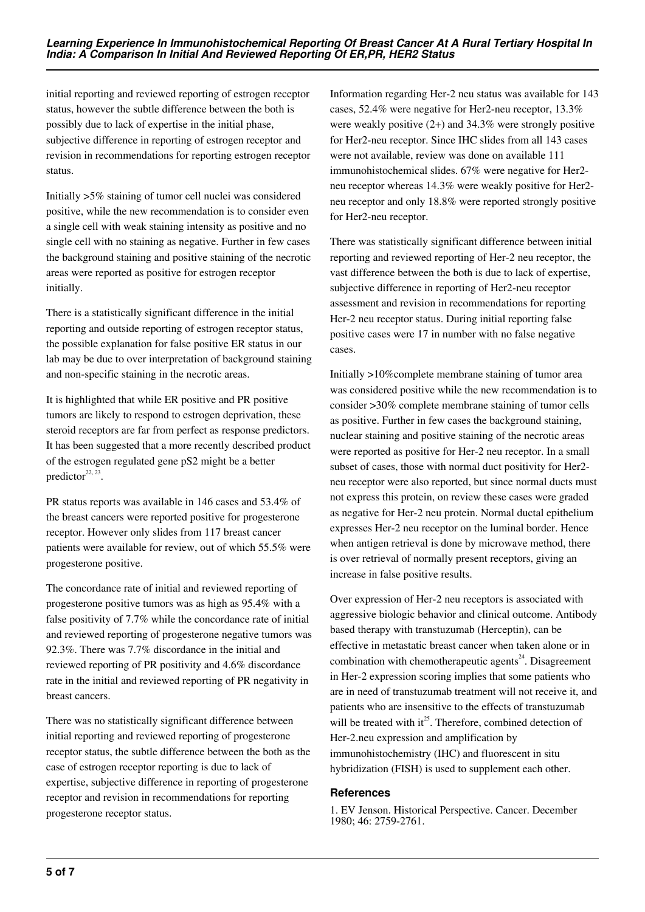initial reporting and reviewed reporting of estrogen receptor status, however the subtle difference between the both is possibly due to lack of expertise in the initial phase, subjective difference in reporting of estrogen receptor and revision in recommendations for reporting estrogen receptor status.

Initially >5% staining of tumor cell nuclei was considered positive, while the new recommendation is to consider even a single cell with weak staining intensity as positive and no single cell with no staining as negative. Further in few cases the background staining and positive staining of the necrotic areas were reported as positive for estrogen receptor initially.

There is a statistically significant difference in the initial reporting and outside reporting of estrogen receptor status, the possible explanation for false positive ER status in our lab may be due to over interpretation of background staining and non-specific staining in the necrotic areas.

It is highlighted that while ER positive and PR positive tumors are likely to respond to estrogen deprivation, these steroid receptors are far from perfect as response predictors. It has been suggested that a more recently described product of the estrogen regulated gene pS2 might be a better predictor $22, 23$ .

PR status reports was available in 146 cases and 53.4% of the breast cancers were reported positive for progesterone receptor. However only slides from 117 breast cancer patients were available for review, out of which 55.5% were progesterone positive.

The concordance rate of initial and reviewed reporting of progesterone positive tumors was as high as 95.4% with a false positivity of 7.7% while the concordance rate of initial and reviewed reporting of progesterone negative tumors was 92.3%. There was 7.7% discordance in the initial and reviewed reporting of PR positivity and 4.6% discordance rate in the initial and reviewed reporting of PR negativity in breast cancers.

There was no statistically significant difference between initial reporting and reviewed reporting of progesterone receptor status, the subtle difference between the both as the case of estrogen receptor reporting is due to lack of expertise, subjective difference in reporting of progesterone receptor and revision in recommendations for reporting progesterone receptor status.

Information regarding Her-2 neu status was available for 143 cases, 52.4% were negative for Her2-neu receptor, 13.3% were weakly positive  $(2+)$  and 34.3% were strongly positive for Her2-neu receptor. Since IHC slides from all 143 cases were not available, review was done on available 111 immunohistochemical slides. 67% were negative for Her2 neu receptor whereas 14.3% were weakly positive for Her2 neu receptor and only 18.8% were reported strongly positive for Her2-neu receptor.

There was statistically significant difference between initial reporting and reviewed reporting of Her-2 neu receptor, the vast difference between the both is due to lack of expertise, subjective difference in reporting of Her2-neu receptor assessment and revision in recommendations for reporting Her-2 neu receptor status. During initial reporting false positive cases were 17 in number with no false negative cases.

Initially >10%complete membrane staining of tumor area was considered positive while the new recommendation is to consider >30% complete membrane staining of tumor cells as positive. Further in few cases the background staining, nuclear staining and positive staining of the necrotic areas were reported as positive for Her-2 neu receptor. In a small subset of cases, those with normal duct positivity for Her2 neu receptor were also reported, but since normal ducts must not express this protein, on review these cases were graded as negative for Her-2 neu protein. Normal ductal epithelium expresses Her-2 neu receptor on the luminal border. Hence when antigen retrieval is done by microwave method, there is over retrieval of normally present receptors, giving an increase in false positive results.

Over expression of Her-2 neu receptors is associated with aggressive biologic behavior and clinical outcome. Antibody based therapy with transtuzumab (Herceptin), can be effective in metastatic breast cancer when taken alone or in combination with chemotherapeutic agents<sup> $24$ </sup>. Disagreement in Her-2 expression scoring implies that some patients who are in need of transtuzumab treatment will not receive it, and patients who are insensitive to the effects of transtuzumab will be treated with  $it^{25}$ . Therefore, combined detection of Her-2.neu expression and amplification by immunohistochemistry (IHC) and fluorescent in situ hybridization (FISH) is used to supplement each other.

#### **References**

1. EV Jenson. Historical Perspective. Cancer. December 1980; 46: 2759-2761.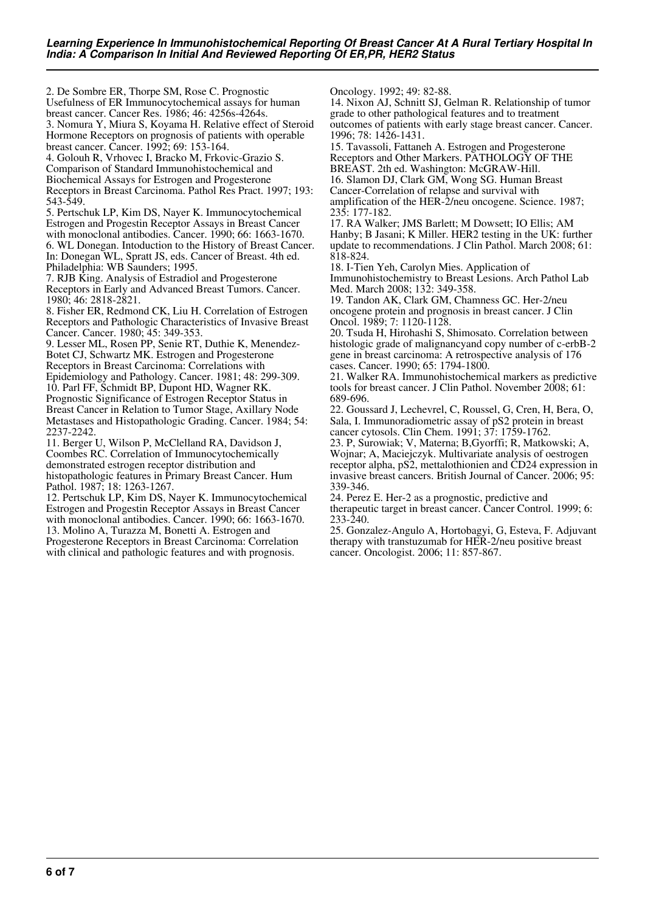2. De Sombre ER, Thorpe SM, Rose C. Prognostic Usefulness of ER Immunocytochemical assays for human breast cancer. Cancer Res. 1986; 46: 4256s-4264s.

3. Nomura Y, Miura S, Koyama H. Relative effect of Steroid Hormone Receptors on prognosis of patients with operable breast cancer. Cancer. 1992; 69: 153-164.

4. Golouh R, Vrhovec I, Bracko M, Frkovic-Grazio S. Comparison of Standard Immunohistochemical and Biochemical Assays for Estrogen and Progesterone Receptors in Breast Carcinoma. Pathol Res Pract. 1997; 193: 543-549.

5. Pertschuk LP, Kim DS, Nayer K. Immunocytochemical Estrogen and Progestin Receptor Assays in Breast Cancer with monoclonal antibodies. Cancer. 1990; 66: 1663-1670. 6. WL Donegan. Intoduction to the History of Breast Cancer. In: Donegan WL, Spratt JS, eds. Cancer of Breast. 4th ed. Philadelphia: WB Saunders; 1995.

7. RJB King. Analysis of Estradiol and Progesterone Receptors in Early and Advanced Breast Tumors. Cancer. 1980; 46: 2818-2821.

8. Fisher ER, Redmond CK, Liu H. Correlation of Estrogen Receptors and Pathologic Characteristics of Invasive Breast Cancer. Cancer. 1980; 45: 349-353.

9. Lesser ML, Rosen PP, Senie RT, Duthie K, Menendez-Botet CJ, Schwartz MK. Estrogen and Progesterone Receptors in Breast Carcinoma: Correlations with Epidemiology and Pathology. Cancer. 1981; 48: 299-309. 10. Parl FF, Schmidt BP, Dupont HD, Wagner RK. Prognostic Significance of Estrogen Receptor Status in Breast Cancer in Relation to Tumor Stage, Axillary Node Metastases and Histopathologic Grading. Cancer. 1984; 54: 2237-2242.

11. Berger U, Wilson P, McClelland RA, Davidson J, Coombes RC. Correlation of Immunocytochemically demonstrated estrogen receptor distribution and histopathologic features in Primary Breast Cancer. Hum Pathol. 1987; 18: 1263-1267.

12. Pertschuk LP, Kim DS, Nayer K. Immunocytochemical Estrogen and Progestin Receptor Assays in Breast Cancer with monoclonal antibodies. Cancer. 1990; 66: 1663-1670. 13. Molino A, Turazza M, Bonetti A. Estrogen and Progesterone Receptors in Breast Carcinoma: Correlation with clinical and pathologic features and with prognosis.

Oncology. 1992; 49: 82-88.

14. Nixon AJ, Schnitt SJ, Gelman R. Relationship of tumor grade to other pathological features and to treatment outcomes of patients with early stage breast cancer. Cancer. 1996; 78: 1426-1431.

15. Tavassoli, Fattaneh A. Estrogen and Progesterone Receptors and Other Markers. PATHOLOGY OF THE BREAST. 2th ed. Washington: McGRAW-Hill.

16. Slamon DJ, Clark GM, Wong SG. Human Breast Cancer-Correlation of relapse and survival with amplification of the HER-2/neu oncogene. Science. 1987;

235: 177-182. 17. RA Walker; JMS Barlett; M Dowsett; IO Ellis; AM Hanby; B Jasani; K Miller. HER2 testing in the UK: further update to recommendations. J Clin Pathol. March 2008; 61: 818-824.

18. I-Tien Yeh, Carolyn Mies. Application of Immunohistochemistry to Breast Lesions. Arch Pathol Lab Med. March 2008; 132: 349-358.

19. Tandon AK, Clark GM, Chamness GC. Her-2/neu oncogene protein and prognosis in breast cancer. J Clin Oncol. 1989; 7: 1120-1128.

20. Tsuda H, Hirohashi S, Shimosato. Correlation between histologic grade of malignancyand copy number of c-erbB-2 gene in breast carcinoma: A retrospective analysis of 176 cases. Cancer. 1990; 65: 1794-1800.

21. Walker RA. Immunohistochemical markers as predictive tools for breast cancer. J Clin Pathol. November 2008; 61: 689-696.

22. Goussard J, Lechevrel, C, Roussel, G, Cren, H, Bera, O, Sala, I. Immunoradiometric assay of pS2 protein in breast cancer cytosols. Clin Chem. 1991; 37: 1759-1762.

23. P, Surowiak; V, Materna; B,Gyorffi; R, Matkowski; A, Wojnar; A, Maciejczyk. Multivariate analysis of oestrogen receptor alpha, pS2, mettalothionien and CD24 expression in invasive breast cancers. British Journal of Cancer. 2006; 95: 339-346.

24. Perez E. Her-2 as a prognostic, predictive and therapeutic target in breast cancer. Cancer Control. 1999; 6: 233-240.

25. Gonzalez-Angulo A, Hortobagyi, G, Esteva, F. Adjuvant therapy with transtuzumab for HER-2/neu positive breast cancer. Oncologist. 2006; 11: 857-867.